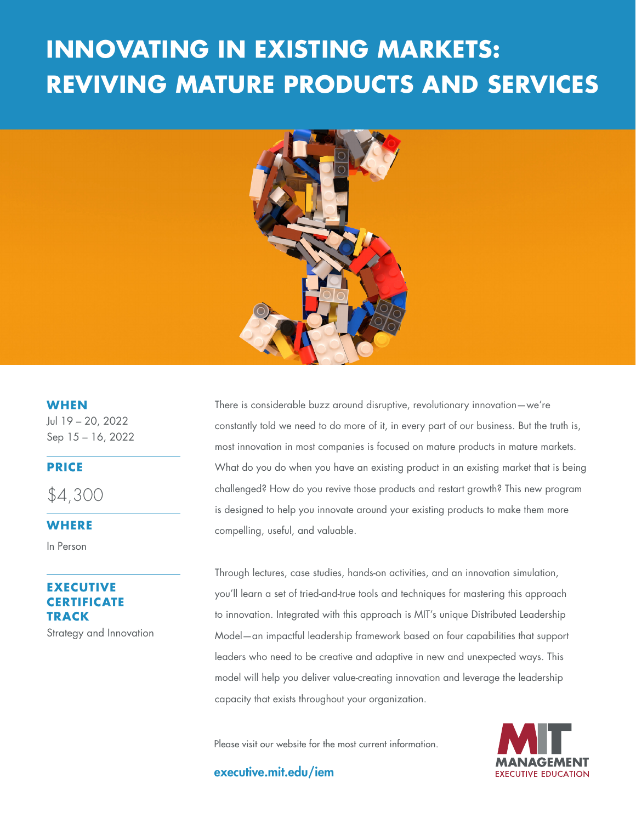# **REVIVING MATURE PRODUCTS AND SERVICES INNOVATING IN EXISTING MARKETS:**



**WHEN**

Jul 19 – 20, 2022 Sep 15 – 16, 2022

#### **PRICE**

\$4,300

#### **WHERE**

In Person

## **EXECUTIVE CERTIFICATE TRACK**

Strategy and Innovation

There is considerable buzz around disruptive, revolutionary innovation—we're constantly told we need to do more of it, in every part of our business. But the truth is, most innovation in most companies is focused on mature products in mature markets. What do you do when you have an existing product in an existing market that is being challenged? How do you revive those products and restart growth? This new program is designed to help you innovate around your existing products to make them more compelling, useful, and valuable.

Through lectures, case studies, hands-on activities, and an innovation simulation, you'll learn a set of tried-and-true tools and techniques for mastering this approach to innovation. Integrated with this approach is MIT's unique Distributed Leadership Model—an impactful leadership framework based on four capabilities that support leaders who need to be creative and adaptive in new and unexpected ways. This model will help you deliver value-creating innovation and leverage the leadership capacity that exists throughout your organization.

Please visit our website for the most current information.